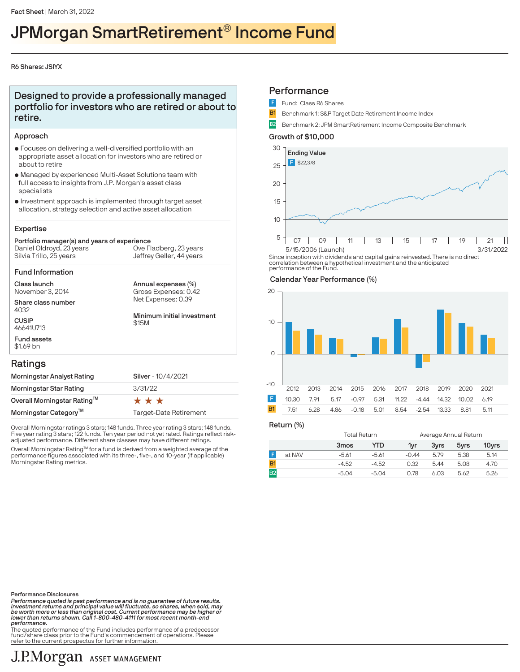# JPMorgan SmartRetirement® Income Fund

## R6 Shares: JSIYX

## Designed to provide a professionally managed portfolio for investors who are retired or about to retire.

## Approach

- $\bullet$  Focuses on delivering a well-diversified portfolio with an appropriate asset allocation for investors who are retired or about to retire
- $\bullet$  Managed by experienced Multi-Asset Solutions team with full access to insights from J.P. Morgan's asset class specialists
- $\bullet$  Investment approach is implemented through target asset allocation, strategy selection and active asset allocation

## Expertise

#### Portfolio manager(s) and years of experience Silvia Trillo, 25 years Daniel Oldroyd, 23 years Ove Fladberg, 23 years

Jeffrey Geller, 44 years

Annual expenses (%)

Gross Expenses: 0.42

#### Fund Information

Class launch November 3, 2014

Share class number 4032

**CUSIP** 46641U713 Fund assets Net Expenses: 0.39 Minimum initial investment \$15M

## Ratings

\$1.69 bn

| Morningstar Analyst Rating              | Silver - 10/4/2021     |
|-----------------------------------------|------------------------|
| Morningstar Star Rating                 | 3/31/22                |
| Overall Morningstar Rating <sup>™</sup> | ***                    |
| Morningstar Category <sup>™</sup>       | Target-Date Retirement |

Overall Morningstar ratings 3 stars; 148 funds. Three year rating 3 stars; 148 funds. Five year rating 3 stars; 122 funds. Ten year period not yet rated. Ratings reflect riskadjusted performance. Different share classes may have different ratings.

Overall Morningstar Rating™ for a fund is derived from a weighted average of the<br>performance figures associated with its three-, five-, and 10-year (if applicable) Morningstar Rating metrics.

## **Performance**

- Fund: Class R6 Shares
- **B1** Benchmark 1: S&P Target Date Retirement Income Index
- B2 Benchmark 2: JPM SmartRetirement Income Composite Benchmark

## Growth of \$10,000



Since inception with dividends and capital gains reinvested. There is no direct correlation between a hypothetical investment and the anticipated performance of the Fund.

### Calendar Year Performance (%)



Return (%)

|                | Total Return |         | Average Annual Return |      |      |       |
|----------------|--------------|---------|-----------------------|------|------|-------|
|                | 3mos         | YTD     | 1vr                   | 3vrs | 5yrs | 10yrs |
| at NAV         | $-5.61$      | -5.61   | $-0.44$               | 5.79 | 5.38 | 5.14  |
|                | $-4.52$      | $-4.52$ | 0.32                  | 5.44 | 5.08 | 4.70  |
| B <sub>2</sub> | $-5.04$      | $-5.04$ | 0.78                  | 6.03 | 5.62 | 5.26  |

Performance Disclosures

Performance quoted is past performance and is no guarantee of future results.<br>Investment returns and principal value will fluctuate, so shares, when sold, may<br>be worth more or less than original cost. Current performance m performance.

.<br>The quoted performance of the Fund includes performance of a predecessor fund/share class prior to the Fund's commencement of operations. Please refer to the current prospectus for further information.

# J.P.Morgan ASSET MANAGEMENT